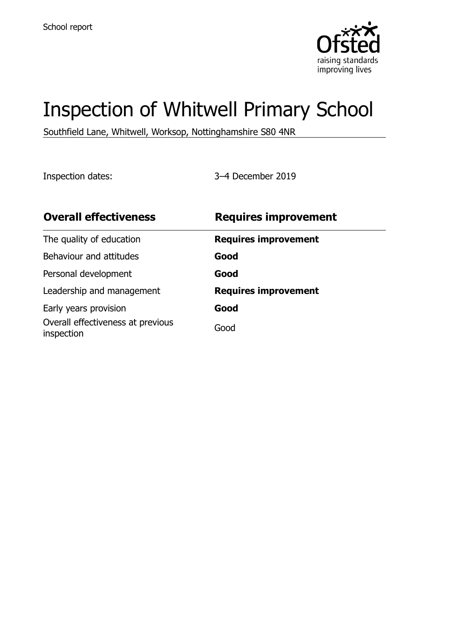

# Inspection of Whitwell Primary School

Southfield Lane, Whitwell, Worksop, Nottinghamshire S80 4NR

Inspection dates: 3–4 December 2019

| <b>Overall effectiveness</b>                    | <b>Requires improvement</b> |
|-------------------------------------------------|-----------------------------|
| The quality of education                        | <b>Requires improvement</b> |
| Behaviour and attitudes                         | Good                        |
| Personal development                            | Good                        |
| Leadership and management                       | <b>Requires improvement</b> |
| Early years provision                           | Good                        |
| Overall effectiveness at previous<br>inspection | Good                        |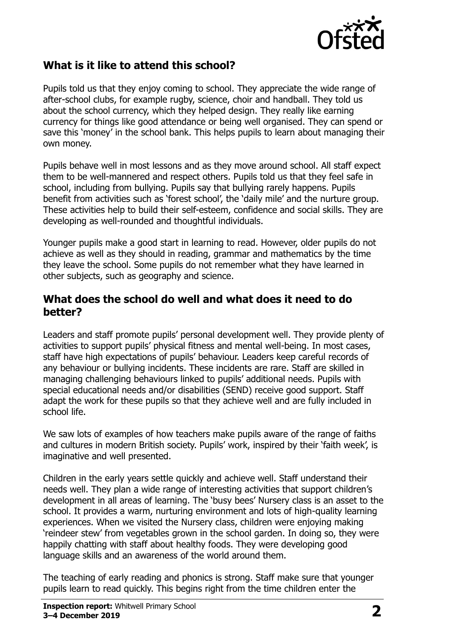

## **What is it like to attend this school?**

Pupils told us that they enjoy coming to school. They appreciate the wide range of after-school clubs, for example rugby, science, choir and handball. They told us about the school currency, which they helped design. They really like earning currency for things like good attendance or being well organised. They can spend or save this 'money' in the school bank. This helps pupils to learn about managing their own money.

Pupils behave well in most lessons and as they move around school. All staff expect them to be well-mannered and respect others. Pupils told us that they feel safe in school, including from bullying. Pupils say that bullying rarely happens. Pupils benefit from activities such as 'forest school', the 'daily mile' and the nurture group. These activities help to build their self-esteem, confidence and social skills. They are developing as well-rounded and thoughtful individuals.

Younger pupils make a good start in learning to read. However, older pupils do not achieve as well as they should in reading, grammar and mathematics by the time they leave the school. Some pupils do not remember what they have learned in other subjects, such as geography and science.

#### **What does the school do well and what does it need to do better?**

Leaders and staff promote pupils' personal development well. They provide plenty of activities to support pupils' physical fitness and mental well-being. In most cases, staff have high expectations of pupils' behaviour. Leaders keep careful records of any behaviour or bullying incidents. These incidents are rare. Staff are skilled in managing challenging behaviours linked to pupils' additional needs. Pupils with special educational needs and/or disabilities (SEND) receive good support. Staff adapt the work for these pupils so that they achieve well and are fully included in school life.

We saw lots of examples of how teachers make pupils aware of the range of faiths and cultures in modern British society. Pupils' work, inspired by their 'faith week', is imaginative and well presented.

Children in the early years settle quickly and achieve well. Staff understand their needs well. They plan a wide range of interesting activities that support children's development in all areas of learning. The 'busy bees' Nursery class is an asset to the school. It provides a warm, nurturing environment and lots of high-quality learning experiences. When we visited the Nursery class, children were enjoying making 'reindeer stew' from vegetables grown in the school garden. In doing so, they were happily chatting with staff about healthy foods. They were developing good language skills and an awareness of the world around them.

The teaching of early reading and phonics is strong. Staff make sure that younger pupils learn to read quickly. This begins right from the time children enter the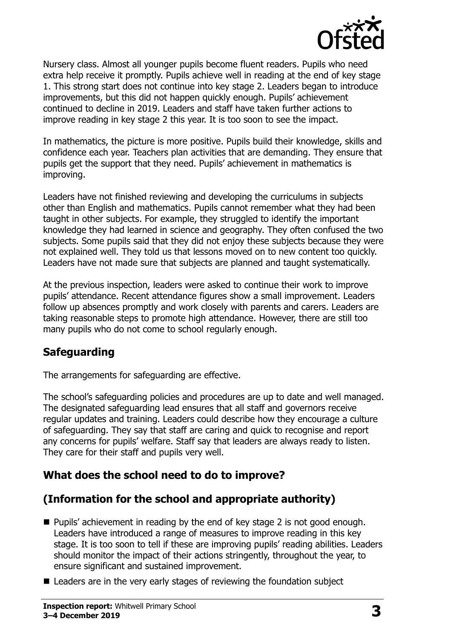

Nursery class. Almost all younger pupils become fluent readers. Pupils who need extra help receive it promptly. Pupils achieve well in reading at the end of key stage 1. This strong start does not continue into key stage 2. Leaders began to introduce improvements, but this did not happen quickly enough. Pupils' achievement continued to decline in 2019. Leaders and staff have taken further actions to improve reading in key stage 2 this year. It is too soon to see the impact.

In mathematics, the picture is more positive. Pupils build their knowledge, skills and confidence each year. Teachers plan activities that are demanding. They ensure that pupils get the support that they need. Pupils' achievement in mathematics is improving.

Leaders have not finished reviewing and developing the curriculums in subjects other than English and mathematics. Pupils cannot remember what they had been taught in other subjects. For example, they struggled to identify the important knowledge they had learned in science and geography. They often confused the two subjects. Some pupils said that they did not enjoy these subjects because they were not explained well. They told us that lessons moved on to new content too quickly. Leaders have not made sure that subjects are planned and taught systematically.

At the previous inspection, leaders were asked to continue their work to improve pupils' attendance. Recent attendance figures show a small improvement. Leaders follow up absences promptly and work closely with parents and carers. Leaders are taking reasonable steps to promote high attendance. However, there are still too many pupils who do not come to school regularly enough.

### **Safeguarding**

The arrangements for safeguarding are effective.

The school's safeguarding policies and procedures are up to date and well managed. The designated safeguarding lead ensures that all staff and governors receive regular updates and training. Leaders could describe how they encourage a culture of safeguarding. They say that staff are caring and quick to recognise and report any concerns for pupils' welfare. Staff say that leaders are always ready to listen. They care for their staff and pupils very well.

## **What does the school need to do to improve?**

## **(Information for the school and appropriate authority)**

- Pupils' achievement in reading by the end of key stage 2 is not good enough. Leaders have introduced a range of measures to improve reading in this key stage. It is too soon to tell if these are improving pupils' reading abilities. Leaders should monitor the impact of their actions stringently, throughout the year, to ensure significant and sustained improvement.
- Leaders are in the very early stages of reviewing the foundation subject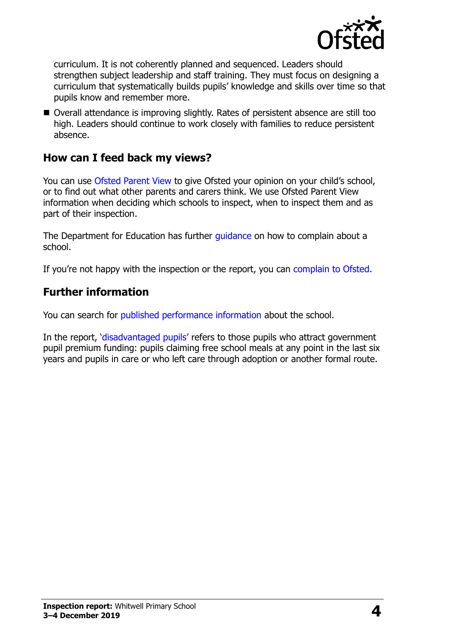

curriculum. It is not coherently planned and sequenced. Leaders should strengthen subject leadership and staff training. They must focus on designing a curriculum that systematically builds pupils' knowledge and skills over time so that pupils know and remember more.

■ Overall attendance is improving slightly. Rates of persistent absence are still too high. Leaders should continue to work closely with families to reduce persistent absence.

#### **How can I feed back my views?**

You can use [Ofsted Parent View](http://parentview.ofsted.gov.uk/) to give Ofsted your opinion on your child's school, or to find out what other parents and carers think. We use Ofsted Parent View information when deciding which schools to inspect, when to inspect them and as part of their inspection.

The Department for Education has further quidance on how to complain about a school.

If you're not happy with the inspection or the report, you can [complain to Ofsted.](http://www.gov.uk/complain-ofsted-report)

## **Further information**

You can search for [published performance information](http://www.compare-school-performance.service.gov.uk/) about the school.

In the report, '[disadvantaged pupils](http://www.gov.uk/guidance/pupil-premium-information-for-schools-and-alternative-provision-settings)' refers to those pupils who attract government pupil premium funding: pupils claiming free school meals at any point in the last six years and pupils in care or who left care through adoption or another formal route.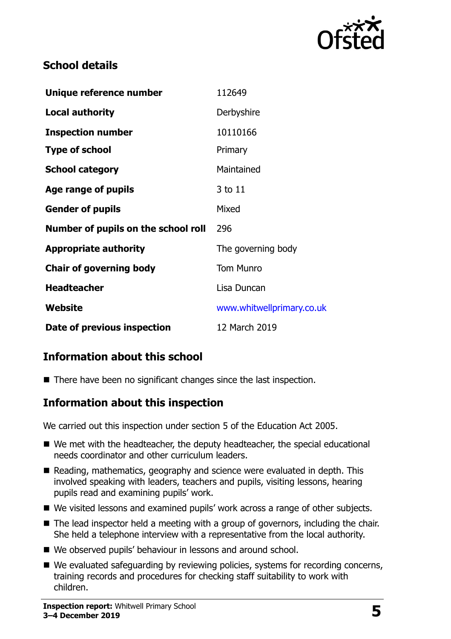

## **School details**

| Unique reference number             | 112649                    |
|-------------------------------------|---------------------------|
| <b>Local authority</b>              | Derbyshire                |
| <b>Inspection number</b>            | 10110166                  |
| <b>Type of school</b>               | Primary                   |
| <b>School category</b>              | Maintained                |
| Age range of pupils                 | 3 to 11                   |
| <b>Gender of pupils</b>             | Mixed                     |
| Number of pupils on the school roll | 296                       |
| <b>Appropriate authority</b>        | The governing body        |
| <b>Chair of governing body</b>      | <b>Tom Munro</b>          |
| <b>Headteacher</b>                  | Lisa Duncan               |
| Website                             | www.whitwellprimary.co.uk |
| Date of previous inspection         | 12 March 2019             |

## **Information about this school**

■ There have been no significant changes since the last inspection.

### **Information about this inspection**

We carried out this inspection under section 5 of the Education Act 2005.

- We met with the headteacher, the deputy headteacher, the special educational needs coordinator and other curriculum leaders.
- Reading, mathematics, geography and science were evaluated in depth. This involved speaking with leaders, teachers and pupils, visiting lessons, hearing pupils read and examining pupils' work.
- We visited lessons and examined pupils' work across a range of other subjects.
- The lead inspector held a meeting with a group of governors, including the chair. She held a telephone interview with a representative from the local authority.
- We observed pupils' behaviour in lessons and around school.
- We evaluated safeguarding by reviewing policies, systems for recording concerns, training records and procedures for checking staff suitability to work with children.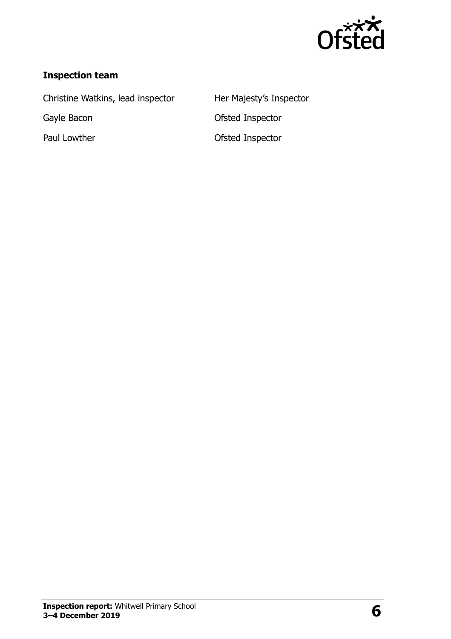

#### **Inspection team**

Christine Watkins, lead inspector Her Majesty's Inspector

Gayle Bacon **Case Contract Contract Contract Contract Contract Contract Contract Contract Contract Contract Contract Contract Contract Contract Contract Contract Contract Contract Contract Contract Contract Contract Contra** Paul Lowther **Contract Contract Contract Contract Contract Contract Contract Contract Contract Contract Contract Contract Contract Contract Contract Contract Contract Contract Contract Contract Contract Contract Contract C**